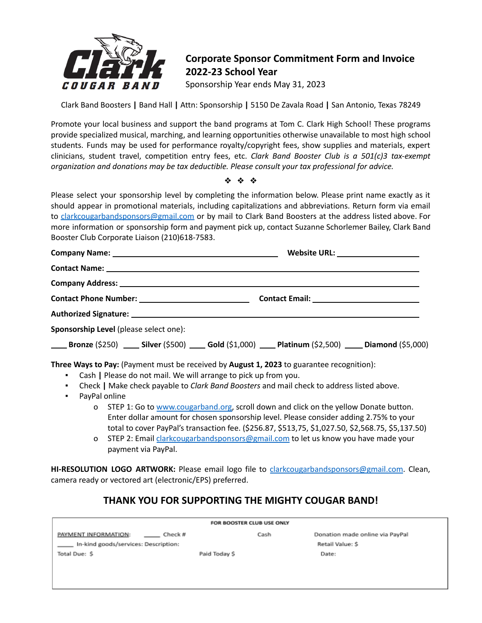

## **Corporate Sponsor Commitment Form and Invoice 2022-23 School Year**

Sponsorship Year ends May 31, 2023

Clark Band Boosters **|** Band Hall **|** Attn: Sponsorship **|** 5150 De Zavala Road **|** San Antonio, Texas 78249

Promote your local business and support the band programs at Tom C. Clark High School! These programs provide specialized musical, marching, and learning opportunities otherwise unavailable to most high school students. Funds may be used for performance royalty/copyright fees, show supplies and materials, expert clinicians, student travel, competition entry fees, etc. *Clark Band Booster Club is a 501(c)3 tax-exempt organization and donations may be tax deductible. Please consult your tax professional for advice.*

❖ ❖ ❖

Please select your sponsorship level by completing the information below. Please print name exactly as it should appear in promotional materials, including capitalizations and abbreviations. Return form via email to [clarkcougarbandsponsors@gmail.com](mailto:clarkcougarbandsponsors@gmail.com) or by mail to Clark Band Boosters at the address listed above. For more information or sponsorship form and payment pick up, contact Suzanne Schorlemer Bailey, Clark Band Booster Club Corporate Liaison (210)618-7583.

| Sponsorship Level (please select one):                                                                                                     |                                                                                                                                                                                                                                                                                                                                                                            |
|--------------------------------------------------------------------------------------------------------------------------------------------|----------------------------------------------------------------------------------------------------------------------------------------------------------------------------------------------------------------------------------------------------------------------------------------------------------------------------------------------------------------------------|
|                                                                                                                                            | <b>Example (5250)</b> _______ Silver (\$500) _______ Gold (\$1,000) ______ Platinum (\$2,500) ______ Diamond (\$5,000)                                                                                                                                                                                                                                                     |
| • Cash   Please do not mail. We will arrange to pick up from you.<br>$\mathbf{B}=\mathbf{0}$<br>PayPal online<br>$\mathbf{u} = \mathbf{u}$ | Three Ways to Pay: (Payment must be received by August 1, 2023 to guarantee recognition):<br>Check   Make check payable to Clark Band Boosters and mail check to address listed above.<br>o STEP 1: Go to www.cougarband.org, scroll down and click on the yellow Donate button.<br>Enter dellar amount for chosen spensorship level. Please sensider adding 2.75% to vour |

- Enter dollar amount for chosen sponsorship level. Please consider adding 2.75% to your total to cover PayPal's transaction fee. (\$256.87, \$513,75, \$1,027.50, \$2,568.75, \$5,137.50)
- o STEP 2: Email [clarkcougarbandsponsors@gmail.com](mailto:clarkcougarbandsponsors@gmail.com) to let us know you have made your payment via PayPal.

**HI-RESOLUTION LOGO ARTWORK:** Please email logo file to [clarkcougarbandsponsors@gmail.com](mailto:clarkcougarbandsponsors@gmail.com). Clean, camera ready or vectored art (electronic/EPS) preferred.

## **THANK YOU FOR SUPPORTING THE MIGHTY COUGAR BAND!**

| FOR BOOSTER CLUB USE ONLY            |               |                                 |  |  |  |  |  |
|--------------------------------------|---------------|---------------------------------|--|--|--|--|--|
| PAYMENT INFORMATION:<br>Check #      | Cash          | Donation made online via PayPal |  |  |  |  |  |
| In-kind goods/services: Description: |               | Retail Value: \$                |  |  |  |  |  |
| Total Due: \$                        | Paid Today \$ | Date:                           |  |  |  |  |  |
|                                      |               |                                 |  |  |  |  |  |